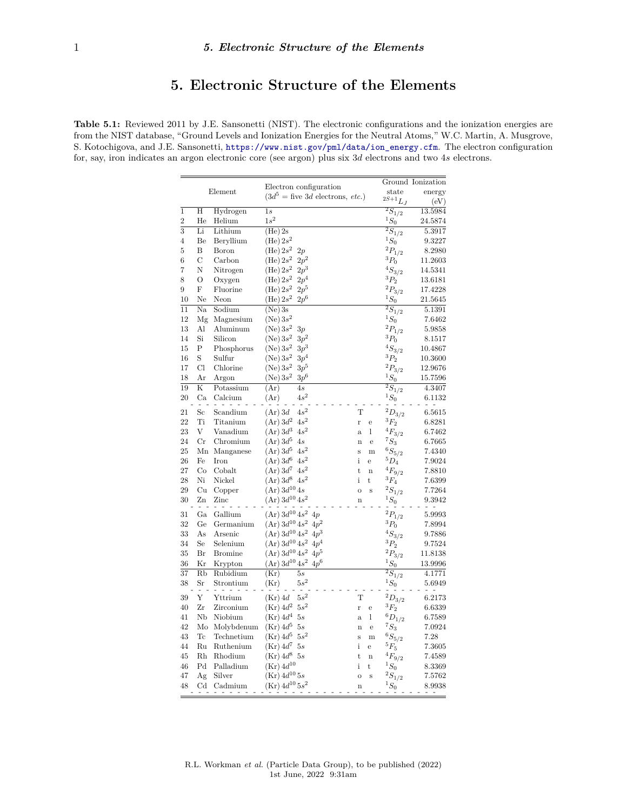## **5. Electronic Structure of the Elements**

**Table 5.1:** Reviewed 2011 by J.E. Sansonetti (NIST). The electronic configurations and the ionization energies are from the NIST database, "Ground Levels and Ionization Energies for the Neutral Atoms," W.C. Martin, A. Musgrove, S. Kotochigova, and J.E. Sansonetti, [https://www.nist.gov/pml/data/ion\\_energy.cfm](https://www.nist.gov/pml/data/ion_energy.cfm). The electron configuration for, say, iron indicates an argon electronic core (see argon) plus six 3*d* electrons and two 4*s* electrons.

|                 | Element                 |                |                                                               |                         |                |                         | Ground Ionization |
|-----------------|-------------------------|----------------|---------------------------------------------------------------|-------------------------|----------------|-------------------------|-------------------|
|                 |                         |                | Electron configuration<br>$(3d^5)$ = five 3d electrons, etc.) |                         |                | state                   | energy            |
|                 |                         |                |                                                               |                         |                | $2S+1$ $L_J$            | (eV)              |
| $\overline{1}$  | Η                       | Hydrogen       | 1s                                                            |                         |                | $\overline{^2S_1}_{/2}$ | 13.5984           |
| $\overline{2}$  | He                      | Helium         | $1s^2$                                                        |                         |                | $^1S_0$                 | 24.5874           |
| $\overline{3}$  | Li                      | Lithium        | $(He)$ 2s                                                     |                         |                | $\overline{^2S}_{1/2}$  | 5.3917            |
| $\overline{4}$  | Be                      | Beryllium      | (He) $2s^2$                                                   |                         |                | $^1S_0$                 | 9.3227            |
| 5               | B                       | Boron          | (He) 2s <sup>2</sup><br>2p                                    |                         |                | $^2\!P_{1/2}$           | 8.2980            |
| 6               | $\mathcal C$            | Carbon         | $2p^2$<br>(He) 2s <sup>2</sup>                                |                         |                | $^3{\cal P}_0$          | 11.2603           |
| 7               | N                       | Nitrogen       | (He) 2s <sup>2</sup><br>$2p^3$                                |                         |                | $^4S_{3/2}$             | 14.5341           |
| 8               | $\overline{O}$          | Oxygen         | $2p^4$<br>(He) 2s <sup>2</sup>                                |                         |                | $^3P_2$                 | 13.6181           |
| 9               | F                       | Fluorine       | (He) 2s <sup>2</sup><br>$2p^5$                                |                         |                | $^2\!P_{3/2}$           | 17.4228           |
| 10              | Ne                      | Neon           | $2p^6$<br>(He) 2s <sup>2</sup>                                |                         |                | $^1S_0$                 | 21.5645           |
| $\overline{11}$ | Na                      | Sodium         | $(Ne)$ 3s                                                     |                         |                | $\overline{^2S_1}_{/2}$ | 5.1391            |
| 12              | Mg                      | Magnesium      | (Ne) 3s <sup>2</sup>                                          |                         |                | $^1S_0$                 | 7.6462            |
| 13              | Al                      | Aluminum       | $(Ne) 3s^2$<br>3p                                             |                         |                | $^2\!P_{1/2}$           | 5.9858            |
| 14              | Si                      | Silicon        | $3p^2$<br>(Ne) $3s^2$                                         |                         |                | $^3P_0$                 | 8.1517            |
| 15              | P                       | Phosphorus     | (Ne) 3s <sup>2</sup><br>$3p^3$                                |                         |                | $^4S_{3/2}$             | 10.4867           |
| 16              | S                       | Sulfur         | $3p^4$<br>(Ne) 3s <sup>2</sup>                                |                         |                | $^3P_2$                 | 10.3600           |
| 17              | Cl                      | Chlorine       | $3p^5$<br>(Ne) 3s <sup>2</sup>                                |                         |                | $^2P_{3/2}$             | 12.9676           |
| 18              | Ar                      | Argon          | $3p^6$<br>(Ne) $3s^2$                                         |                         |                | $^1S_0$                 | 15.7596           |
| 19              | $\overline{\mathrm{K}}$ | Potassium      | (Ar)<br>4s                                                    |                         |                | $\overline{^2S}_{1/2}$  | 4.3407            |
| 20              | Ca                      | Calcium        | $4s^2$<br>(Ar)                                                |                         |                | $^1S_0$                 | 6.1132            |
| 21              | $_{\rm Sc}$             | Scandium       | $4s^2$<br>$(Ar)$ 3d                                           | $\mathbf T$             |                | $^2D_{3/2}$             | 6.5615            |
| 22              | Ti                      | Titanium       | $4s^2$<br>$(Ar)$ $3d^2$                                       | r                       | $\overline{e}$ | $^3{\cal F}_2$          | 6.8281            |
| 23              | V                       | Vanadium       | $(Ar)$ $3d^3$<br>$4s^2$                                       | $\mathbf{a}$            | 1              | ${}^{4}F_{3/2}$         | 6.7462            |
| 24              | $_{\rm Cr}$             | Chromium       | (Ar) 3d <sup>5</sup><br>4s                                    | $\overline{\mathbf{n}}$ | e              | $^7S_3$                 | 6.7665            |
| 25              |                         | Mn Manganese   | (Ar) 3d <sup>5</sup><br>$4s^2$                                | S                       | m              | $^6S_{5/2}$             | 7.4340            |
| 26              | Fe                      | Iron           | $(Ar)$ $3d^6$<br>$4s^2$                                       | i                       | e              | $^5D_4$                 | 7.9024            |
| 27              | Co                      | Cobalt         | $4s^2$<br>$(Ar)$ $3d^7$                                       | $\mathbf t$             | $\mathbf n$    | $^4F_{9/2}$             | 7.8810            |
| 28              | Ni                      | Nickel         | $4s^2$<br>$(Ar)$ $3d^8$                                       | i                       | $_{\rm t}$     | $^3F_4$                 | 7.6399            |
| 29              | Cu                      | Copper         | $(Ar) 3d^{10} 4s$                                             | $\overline{O}$          | S              | $^2S_{1/2}$             | 7.7264            |
| 30              | Zn                      | Zinc           | $(Ar) 3d^{10} 4s^2$                                           | $\mathbf n$             |                | $^1S_0$                 | 9.3942            |
| 31              | Ga                      | Gallium        | $(Ar) 3d^{10} 4s^2$<br>4p                                     |                         |                | $^2P_{1/2}$             | 5.9993            |
| 32              | Ge                      | Germanium      | $(Ar) 3d^{10} 4s^2$<br>$4p^2$                                 |                         |                | $^3P_0$                 | 7.8994            |
| 33              | As                      | Arsenic        | $(Ar)$ 3d <sup>10</sup> 4s <sup>2</sup><br>$4p^3$             |                         |                | $^4S_{3/2}$             | 9.7886            |
| 34              | Se                      | Selenium       | $(Ar)$ 3d <sup>10</sup> 4s <sup>2</sup> 4p <sup>4</sup>       |                         |                | $^3P_2$                 | $9.7524\,$        |
| 35              | Br                      | <b>Bromine</b> | $(Ar)$ 3d <sup>10</sup> 4s <sup>2</sup> 4p <sup>5</sup>       |                         |                | $^2P_{3/2}$             | 11.8138           |
| 36              | Kr                      | Krypton        | $(Ar) 3d^{10} 4s^2 4p^6$                                      |                         |                | $^1S_0$                 | 13.9996           |
| $\overline{37}$ | $\overline{\text{Rb}}$  | Rubidium       | (Kr)<br>5s                                                    |                         |                | $\overline{^2S_1}_{/2}$ | 4.1771            |
| 38              | Sr                      | Strontium      | $5s^2$<br>(Kr)                                                |                         |                | $^1S_0$                 | 5.6949            |
| 39              | Υ                       | Yttrium        | $5s^2$<br>$(Kr)$ 4d                                           | T                       |                | $^2D_{3/2}$             | 6.2173            |
| 40              | Zr                      | Zirconium      | $(Kr)$ 4 $d^2$<br>$5s^2$                                      | r                       | $\overline{e}$ | $^3{\cal F}_2$          | 6.6339            |
| 41              | Nb                      | Niobium        | $(Kr)$ 4d <sup>4</sup><br>5s                                  | a                       | 1              | $^6D_{1/2}$             | 6.7589            |
| 42              | Mo                      | Molybdenum     | $(Kr)$ 4 $d5$<br>5s                                           | $\overline{\mathbf{n}}$ | e              | $^7S_3$                 | 7.0924            |
| 43              | $_{\mathrm{Tc}}$        | Technetium     | $(Kr)$ 4 $d5$<br>$5s^2$                                       | S                       | $\mathbf m$    | $^6S_{5/2}$             | 7.28              |
| 44              | Ru                      | Ruthenium      | $(Kr) 4d^7$<br>5s                                             | i                       | e              | $^5F_5$                 | 7.3605            |
| 45              | Rh                      | Rhodium        | $(Kr)$ 4 $d^8$<br>5s                                          | t                       | $\mathbf n$    | $^4{\cal F}_{9/2}$      | 7.4589            |
| 46              | Pd                      | Palladium      | $(Kr) 4d^{10}$                                                | i                       | t              | $^{1}S_{0}$             | 8.3369            |
| 47              | Ag                      | Silver         | (Kr) $4d^{10}$ $5s$                                           | $\overline{O}$          | S              | $^2S_{1/2}$             | 7.5762            |
| 48              | $_{\rm Cd}$             | Cadmium        | $(Kr) 4d^{10} 5s^2$                                           | $\mathbf n$             |                | ${}^1S_0$               | 8.9938            |
|                 |                         | Ξ              |                                                               |                         |                |                         |                   |